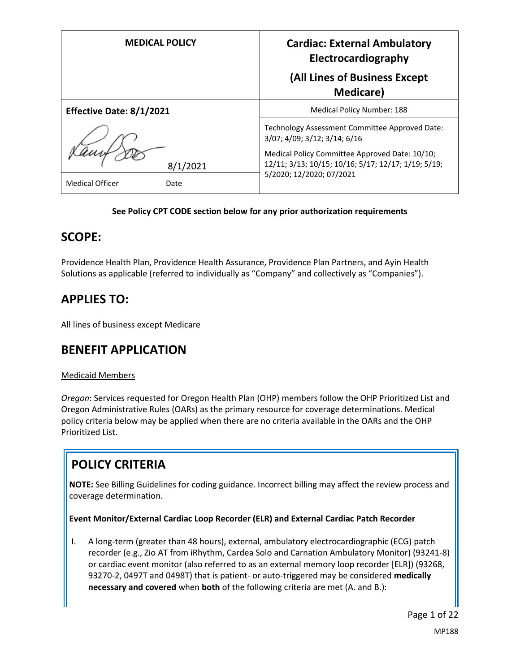| <b>MEDICAL POLICY</b>          | <b>Cardiac: External Ambulatory</b><br>Electrocardiography                                                                        |  |
|--------------------------------|-----------------------------------------------------------------------------------------------------------------------------------|--|
|                                | (All Lines of Business Except<br><b>Medicare</b> )                                                                                |  |
| Effective Date: 8/1/2021       | <b>Medical Policy Number: 188</b>                                                                                                 |  |
|                                | Technology Assessment Committee Approved Date:<br>3/07; 4/09; 3/12; 3/14; 6/16                                                    |  |
| 8/1/2021                       | Medical Policy Committee Approved Date: 10/10;<br>12/11; 3/13; 10/15; 10/16; 5/17; 12/17; 1/19; 5/19;<br>5/2020; 12/2020; 07/2021 |  |
| <b>Medical Officer</b><br>Date |                                                                                                                                   |  |

### **See Policy CPT CODE section below for any prior authorization requirements**

## **SCOPE:**

Providence Health Plan, Providence Health Assurance, Providence Plan Partners, and Ayin Health Solutions as applicable (referred to individually as "Company" and collectively as "Companies").

# **APPLIES TO:**

All lines of business except Medicare

## **BENEFIT APPLICATION**

### Medicaid Members

*Oregon*: Services requested for Oregon Health Plan (OHP) members follow the OHP Prioritized List and Oregon Administrative Rules (OARs) as the primary resource for coverage determinations. Medical policy criteria below may be applied when there are no criteria available in the OARs and the OHP Prioritized List.

# **POLICY CRITERIA**

**NOTE:** See Billing Guidelines for coding guidance. Incorrect billing may affect the review process and coverage determination.

### **Event Monitor/External Cardiac Loop Recorder (ELR) and External Cardiac Patch Recorder**

I. A long-term (greater than 48 hours), external, ambulatory electrocardiographic (ECG) patch recorder (e.g., Zio AT from iRhythm, Cardea Solo and Carnation Ambulatory Monitor) (93241-8) or cardiac event monitor (also referred to as an external memory loop recorder [ELR]) (93268, 93270-2, 0497T and 0498T) that is patient- or auto-triggered may be considered **medically necessary and covered** when **both** of the following criteria are met (A. and B.):

Page 1 of 22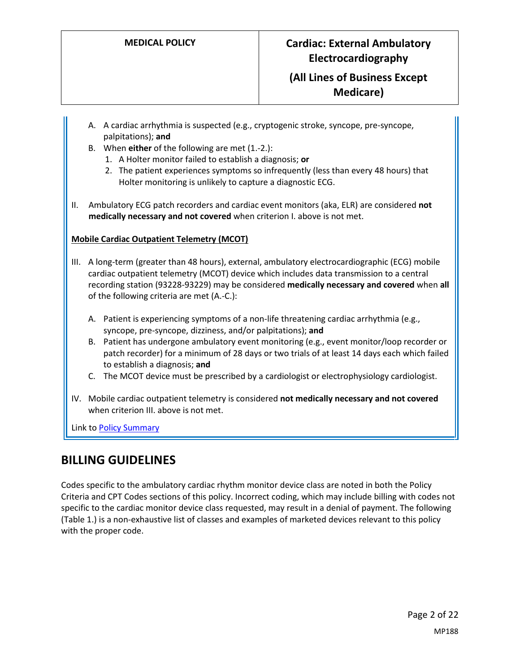- A. A cardiac arrhythmia is suspected (e.g., cryptogenic stroke, syncope, pre-syncope, palpitations); **and**
- B. When **either** of the following are met (1.-2.):
	- 1. A Holter monitor failed to establish a diagnosis; **or**
	- 2. The patient experiences symptoms so infrequently (less than every 48 hours) that Holter monitoring is unlikely to capture a diagnostic ECG.
- II. Ambulatory ECG patch recorders and cardiac event monitors (aka, ELR) are considered **not medically necessary and not covered** when criterion I. above is not met.

### **Mobile Cardiac Outpatient Telemetry (MCOT)**

- III. A long-term (greater than 48 hours), external, ambulatory electrocardiographic (ECG) mobile cardiac outpatient telemetry (MCOT) device which includes data transmission to a central recording station (93228-93229) may be considered **medically necessary and covered** when **all** of the following criteria are met (A.-C.):
	- A. Patient is experiencing symptoms of a non-life threatening cardiac arrhythmia (e.g., syncope, pre-syncope, dizziness, and/or palpitations); **and**
	- B. Patient has undergone ambulatory event monitoring (e.g., event monitor/loop recorder or patch recorder) for a minimum of 28 days or two trials of at least 14 days each which failed to establish a diagnosis; **and**
	- C. The MCOT device must be prescribed by a cardiologist or electrophysiology cardiologist.
- IV. Mobile cardiac outpatient telemetry is considered **not medically necessary and not covered** when criterion III. above is not met.

Link t[o Policy Summary](#page-16-0)

# **BILLING GUIDELINES**

Codes specific to the ambulatory cardiac rhythm monitor device class are noted in both the Policy Criteria and CPT Codes sections of this policy. Incorrect coding, which may include billing with codes not specific to the cardiac monitor device class requested, may result in a denial of payment. The following (Table 1.) is a non-exhaustive list of classes and examples of marketed devices relevant to this policy with the proper code.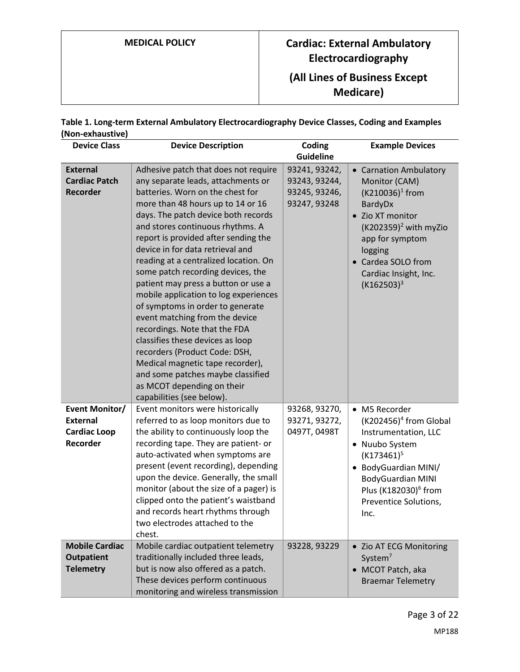| <b>MEDICAL POLICY</b> |  |
|-----------------------|--|
|-----------------------|--|

# **MEDICAL POLICY Cardiac: External Ambulatory Electrocardiography (All Lines of Business Except**

**Medicare)**

| Table 1. Long-term External Ambulatory Electrocardiography Device Classes, Coding and Examples |  |
|------------------------------------------------------------------------------------------------|--|
| (Non-exhaustive)                                                                               |  |

| <b>Device Class</b>                                                  | <b>Device Description</b>                                                                                                                                                                                                                                                                                                                                                                                                                                                                                                                                                                                                                                                                                                                                                                | Coding<br><b>Guideline</b>                                      | <b>Example Devices</b>                                                                                                                                                                                                         |
|----------------------------------------------------------------------|------------------------------------------------------------------------------------------------------------------------------------------------------------------------------------------------------------------------------------------------------------------------------------------------------------------------------------------------------------------------------------------------------------------------------------------------------------------------------------------------------------------------------------------------------------------------------------------------------------------------------------------------------------------------------------------------------------------------------------------------------------------------------------------|-----------------------------------------------------------------|--------------------------------------------------------------------------------------------------------------------------------------------------------------------------------------------------------------------------------|
| <b>External</b><br><b>Cardiac Patch</b><br><b>Recorder</b>           | Adhesive patch that does not require<br>any separate leads, attachments or<br>batteries. Worn on the chest for<br>more than 48 hours up to 14 or 16<br>days. The patch device both records<br>and stores continuous rhythms. A<br>report is provided after sending the<br>device in for data retrieval and<br>reading at a centralized location. On<br>some patch recording devices, the<br>patient may press a button or use a<br>mobile application to log experiences<br>of symptoms in order to generate<br>event matching from the device<br>recordings. Note that the FDA<br>classifies these devices as loop<br>recorders (Product Code: DSH,<br>Medical magnetic tape recorder),<br>and some patches maybe classified<br>as MCOT depending on their<br>capabilities (see below). | 93241, 93242,<br>93243, 93244,<br>93245, 93246,<br>93247, 93248 | • Carnation Ambulatory<br>Monitor (CAM)<br>$(K210036)^1$ from<br>BardyDx<br>• Zio XT monitor<br>$(K202359)^2$ with myZio<br>app for symptom<br>logging<br>• Cardea SOLO from<br>Cardiac Insight, Inc.<br>$(K162503)^3$         |
| Event Monitor/<br><b>External</b><br><b>Cardiac Loop</b><br>Recorder | Event monitors were historically<br>referred to as loop monitors due to<br>the ability to continuously loop the<br>recording tape. They are patient- or<br>auto-activated when symptoms are<br>present (event recording), depending<br>upon the device. Generally, the small<br>monitor (about the size of a pager) is<br>clipped onto the patient's waistband<br>and records heart rhythms through<br>two electrodes attached to the<br>chest.                                                                                                                                                                                                                                                                                                                                          | 93268, 93270,<br>93271, 93272,<br>0497T, 0498T                  | • M5 Recorder<br>$(K202456)^4$ from Global<br>Instrumentation, LLC<br>• Nuubo System<br>$(K173461)^5$<br>• BodyGuardian MINI/<br><b>BodyGuardian MINI</b><br>Plus (K182030) <sup>6</sup> from<br>Preventice Solutions,<br>Inc. |
| <b>Mobile Cardiac</b><br><b>Outpatient</b><br><b>Telemetry</b>       | Mobile cardiac outpatient telemetry<br>traditionally included three leads,<br>but is now also offered as a patch.<br>These devices perform continuous<br>monitoring and wireless transmission                                                                                                                                                                                                                                                                                                                                                                                                                                                                                                                                                                                            | 93228, 93229                                                    | • Zio AT ECG Monitoring<br>System <sup>7</sup><br>• MCOT Patch, aka<br><b>Braemar Telemetry</b>                                                                                                                                |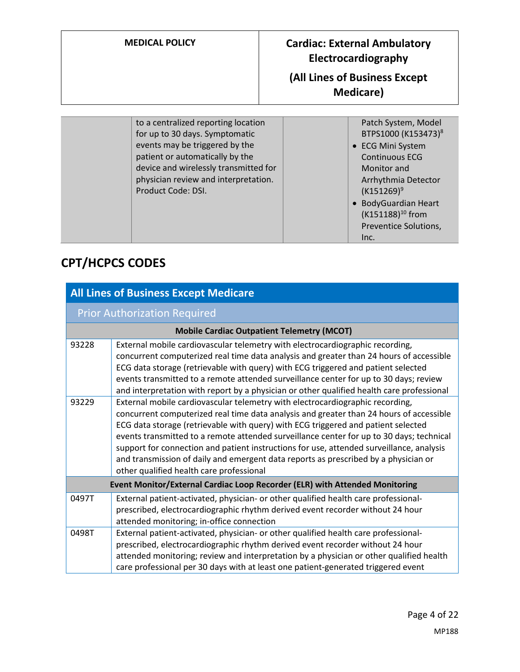| <b>MEDICAL POLICY</b>               | <b>Cardiac: External Ambulatory</b><br>Electrocardiography<br>(All Lines of Business Except<br><b>Medicare</b> ) |
|-------------------------------------|------------------------------------------------------------------------------------------------------------------|
|                                     |                                                                                                                  |
| to a centralized reporting location | Patch System, Model                                                                                              |

| for up to 30 days. Symptomatic        | BTPS1000 (K153473) <sup>8</sup> |
|---------------------------------------|---------------------------------|
| events may be triggered by the        | • ECG Mini System               |
| patient or automatically by the       | <b>Continuous ECG</b>           |
| device and wirelessly transmitted for | Monitor and                     |
| physician review and interpretation.  | Arrhythmia Detector             |
| Product Code: DSI.                    | $(K151269)^9$                   |
|                                       | • BodyGuardian Heart            |
|                                       | (K151188) <sup>10</sup> from    |
|                                       | Preventice Solutions,           |
|                                       | Inc.                            |

# **CPT/HCPCS CODES**

|                                                                             | <b>All Lines of Business Except Medicare</b>                                                                                                                                                                                                                                                                                                                                                                                                                                                                                                                                             |  |
|-----------------------------------------------------------------------------|------------------------------------------------------------------------------------------------------------------------------------------------------------------------------------------------------------------------------------------------------------------------------------------------------------------------------------------------------------------------------------------------------------------------------------------------------------------------------------------------------------------------------------------------------------------------------------------|--|
|                                                                             | <b>Prior Authorization Required</b>                                                                                                                                                                                                                                                                                                                                                                                                                                                                                                                                                      |  |
|                                                                             | <b>Mobile Cardiac Outpatient Telemetry (MCOT)</b>                                                                                                                                                                                                                                                                                                                                                                                                                                                                                                                                        |  |
| 93228                                                                       | External mobile cardiovascular telemetry with electrocardiographic recording,<br>concurrent computerized real time data analysis and greater than 24 hours of accessible<br>ECG data storage (retrievable with query) with ECG triggered and patient selected<br>events transmitted to a remote attended surveillance center for up to 30 days; review<br>and interpretation with report by a physician or other qualified health care professional                                                                                                                                      |  |
| 93229                                                                       | External mobile cardiovascular telemetry with electrocardiographic recording,<br>concurrent computerized real time data analysis and greater than 24 hours of accessible<br>ECG data storage (retrievable with query) with ECG triggered and patient selected<br>events transmitted to a remote attended surveillance center for up to 30 days; technical<br>support for connection and patient instructions for use, attended surveillance, analysis<br>and transmission of daily and emergent data reports as prescribed by a physician or<br>other qualified health care professional |  |
| Event Monitor/External Cardiac Loop Recorder (ELR) with Attended Monitoring |                                                                                                                                                                                                                                                                                                                                                                                                                                                                                                                                                                                          |  |
| 0497T                                                                       | External patient-activated, physician- or other qualified health care professional-<br>prescribed, electrocardiographic rhythm derived event recorder without 24 hour<br>attended monitoring; in-office connection                                                                                                                                                                                                                                                                                                                                                                       |  |
| 0498T                                                                       | External patient-activated, physician- or other qualified health care professional-<br>prescribed, electrocardiographic rhythm derived event recorder without 24 hour<br>attended monitoring; review and interpretation by a physician or other qualified health<br>care professional per 30 days with at least one patient-generated triggered event                                                                                                                                                                                                                                    |  |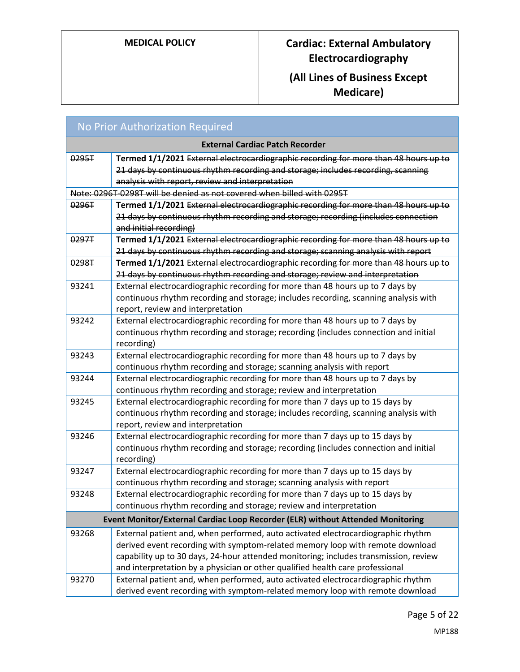# **MEDICAL POLICY Cardiac: External Ambulatory Electrocardiography**

# **(All Lines of Business Except Medicare)**

| <b>No Prior Authorization Required</b> |                                                                                      |
|----------------------------------------|--------------------------------------------------------------------------------------|
| <b>External Cardiac Patch Recorder</b> |                                                                                      |
| 0295T                                  | Termed 1/1/2021 External electrocardiographic recording for more than 48 hours up to |
|                                        | 21 days by continuous rhythm recording and storage; includes recording, scanning     |
|                                        | analysis with report, review and interpretation                                      |
|                                        | Note: 0296T-0298T will be denied as not covered when billed with 0295T               |
| 0296T                                  | Termed 1/1/2021 External electrocardiographic recording for more than 48 hours up to |
|                                        | 21 days by continuous rhythm recording and storage; recording (includes connection   |
|                                        | and initial recording)                                                               |
| 0297T                                  | Termed 1/1/2021 External electrocardiographic recording for more than 48 hours up to |
|                                        | 21 days by continuous rhythm recording and storage; scanning analysis with report    |
| 0298T                                  | Termed 1/1/2021 External electrocardiographic recording for more than 48 hours up to |
|                                        | 21 days by continuous rhythm recording and storage; review and interpretation        |
| 93241                                  | External electrocardiographic recording for more than 48 hours up to 7 days by       |
|                                        | continuous rhythm recording and storage; includes recording, scanning analysis with  |
|                                        | report, review and interpretation                                                    |
| 93242                                  | External electrocardiographic recording for more than 48 hours up to 7 days by       |
|                                        | continuous rhythm recording and storage; recording (includes connection and initial  |
|                                        | recording)                                                                           |
| 93243                                  | External electrocardiographic recording for more than 48 hours up to 7 days by       |
|                                        | continuous rhythm recording and storage; scanning analysis with report               |
| 93244                                  | External electrocardiographic recording for more than 48 hours up to 7 days by       |
|                                        | continuous rhythm recording and storage; review and interpretation                   |
| 93245                                  | External electrocardiographic recording for more than 7 days up to 15 days by        |
|                                        | continuous rhythm recording and storage; includes recording, scanning analysis with  |
|                                        | report, review and interpretation                                                    |
| 93246                                  | External electrocardiographic recording for more than 7 days up to 15 days by        |
|                                        | continuous rhythm recording and storage; recording (includes connection and initial  |
|                                        | recording)                                                                           |
| 93247                                  | External electrocardiographic recording for more than 7 days up to 15 days by        |
|                                        | continuous rhythm recording and storage; scanning analysis with report               |
| 93248                                  | External electrocardiographic recording for more than 7 days up to 15 days by        |
|                                        | continuous rhythm recording and storage; review and interpretation                   |
|                                        | Event Monitor/External Cardiac Loop Recorder (ELR) without Attended Monitoring       |
| 93268                                  | External patient and, when performed, auto activated electrocardiographic rhythm     |
|                                        | derived event recording with symptom-related memory loop with remote download        |
|                                        | capability up to 30 days, 24-hour attended monitoring; includes transmission, review |
|                                        | and interpretation by a physician or other qualified health care professional        |
| 93270                                  | External patient and, when performed, auto activated electrocardiographic rhythm     |
|                                        | derived event recording with symptom-related memory loop with remote download        |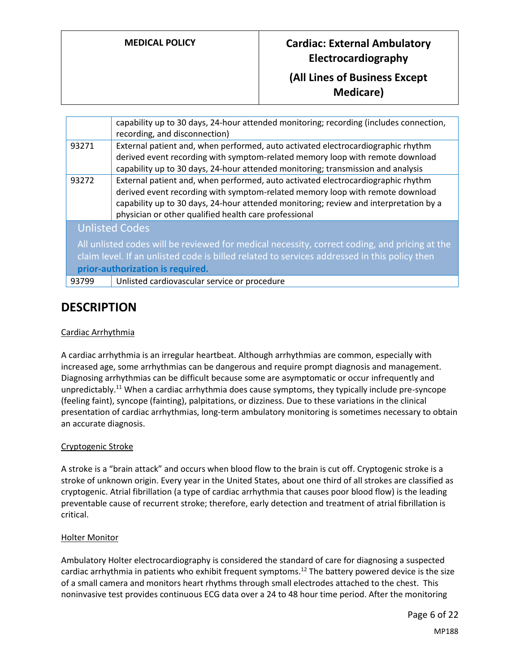|       | capability up to 30 days, 24-hour attended monitoring; recording (includes connection,<br>recording, and disconnection)                                                                                                                                                                                             |
|-------|---------------------------------------------------------------------------------------------------------------------------------------------------------------------------------------------------------------------------------------------------------------------------------------------------------------------|
| 93271 | External patient and, when performed, auto activated electrocardiographic rhythm<br>derived event recording with symptom-related memory loop with remote download<br>capability up to 30 days, 24-hour attended monitoring; transmission and analysis                                                               |
| 93272 | External patient and, when performed, auto activated electrocardiographic rhythm<br>derived event recording with symptom-related memory loop with remote download<br>capability up to 30 days, 24-hour attended monitoring; review and interpretation by a<br>physician or other qualified health care professional |
|       | <b>Unlisted Codes</b>                                                                                                                                                                                                                                                                                               |
|       | All unlisted codes will be reviewed for medical necessity, correct coding, and pricing at the<br>claim level. If an unlisted code is billed related to services addressed in this policy then<br>prior-authorization is required.                                                                                   |
| 93799 | Unlisted cardiovascular service or procedure                                                                                                                                                                                                                                                                        |

# **DESCRIPTION**

### Cardiac Arrhythmia

A cardiac arrhythmia is an irregular heartbeat. Although arrhythmias are common, especially with increased age, some arrhythmias can be dangerous and require prompt diagnosis and management. Diagnosing arrhythmias can be difficult because some are asymptomatic or occur infrequently and unpredictably.<sup>11</sup> When a cardiac arrhythmia does cause symptoms, they typically include pre-syncope (feeling faint), syncope (fainting), palpitations, or dizziness. Due to these variations in the clinical presentation of cardiac arrhythmias, long-term ambulatory monitoring is sometimes necessary to obtain an accurate diagnosis.

### Cryptogenic Stroke

A stroke is a "brain attack" and occurs when blood flow to the brain is cut off. Cryptogenic stroke is a stroke of unknown origin. Every year in the United States, about one third of all strokes are classified as cryptogenic. Atrial fibrillation (a type of cardiac arrhythmia that causes poor blood flow) is the leading preventable cause of recurrent stroke; therefore, early detection and treatment of atrial fibrillation is critical.

### Holter Monitor

Ambulatory Holter electrocardiography is considered the standard of care for diagnosing a suspected cardiac arrhythmia in patients who exhibit frequent symptoms.<sup>12</sup> The battery powered device is the size of a small camera and monitors heart rhythms through small electrodes attached to the chest. This noninvasive test provides continuous ECG data over a 24 to 48 hour time period. After the monitoring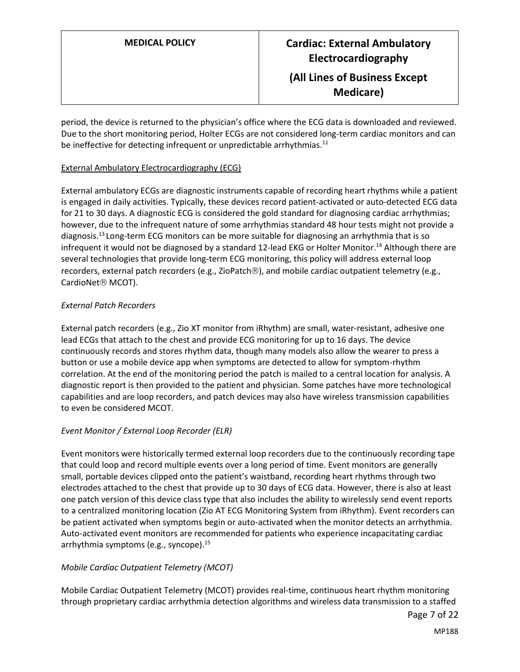period, the device is returned to the physician's office where the ECG data is downloaded and reviewed. Due to the short monitoring period, Holter ECGs are not considered long-term cardiac monitors and can be ineffective for detecting infrequent or unpredictable arrhythmias.<sup>11</sup>

### External Ambulatory Electrocardiography (ECG)

External ambulatory ECGs are diagnostic instruments capable of recording heart rhythms while a patient is engaged in daily activities. Typically, these devices record patient-activated or auto-detected ECG data for 21 to 30 days. A diagnostic ECG is considered the gold standard for diagnosing cardiac arrhythmias; however, due to the infrequent nature of some arrhythmias standard 48 hour tests might not provide a diagnosis. <sup>13</sup> Long-term ECG monitors can be more suitable for diagnosing an arrhythmia that is so infrequent it would not be diagnosed by a standard 12-lead EKG or Holter Monitor.<sup>14</sup> Although there are several technologies that provide long-term ECG monitoring, this policy will address external loop recorders, external patch recorders (e.g., ZioPatch®), and mobile cardiac outpatient telemetry (e.g., CardioNet<sup>®</sup> MCOT).

### *External Patch Recorders*

External patch recorders (e.g., Zio XT monitor from iRhythm) are small, water-resistant, adhesive one lead ECGs that attach to the chest and provide ECG monitoring for up to 16 days. The device continuously records and stores rhythm data, though many models also allow the wearer to press a button or use a mobile device app when symptoms are detected to allow for symptom-rhythm correlation. At the end of the monitoring period the patch is mailed to a central location for analysis. A diagnostic report is then provided to the patient and physician. Some patches have more technological capabilities and are loop recorders, and patch devices may also have wireless transmission capabilities to even be considered MCOT.

### *Event Monitor / External Loop Recorder (ELR)*

Event monitors were historically termed external loop recorders due to the continuously recording tape that could loop and record multiple events over a long period of time. Event monitors are generally small, portable devices clipped onto the patient's waistband, recording heart rhythms through two electrodes attached to the chest that provide up to 30 days of ECG data. However, there is also at least one patch version of this device class type that also includes the ability to wirelessly send event reports to a centralized monitoring location (Zio AT ECG Monitoring System from iRhythm). Event recorders can be patient activated when symptoms begin or auto-activated when the monitor detects an arrhythmia. Auto-activated event monitors are recommended for patients who experience incapacitating cardiac arrhythmia symptoms (e.g., syncope).<sup>15</sup>

### *Mobile Cardiac Outpatient Telemetry (MCOT)*

Mobile Cardiac Outpatient Telemetry (MCOT) provides real-time, continuous heart rhythm monitoring through proprietary cardiac arrhythmia detection algorithms and wireless data transmission to a staffed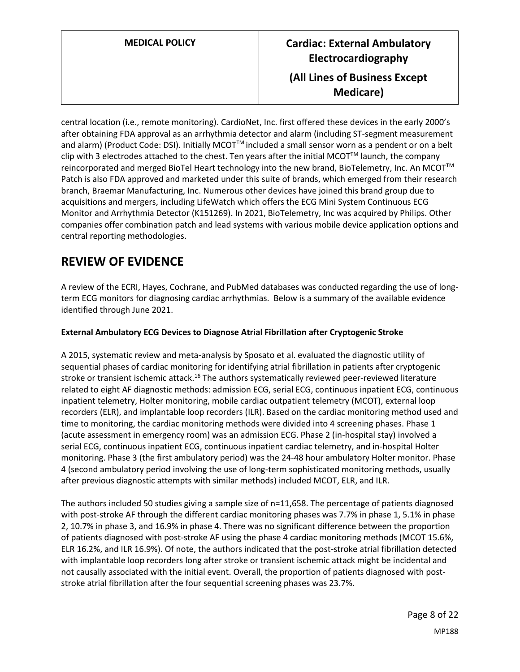central location (i.e., remote monitoring). CardioNet, Inc. first offered these devices in the early 2000's after obtaining FDA approval as an arrhythmia detector and alarm (including ST-segment measurement and alarm) (Product Code: DSI). Initially MCOT<sup>™</sup> included a small sensor worn as a pendent or on a belt clip with 3 electrodes attached to the chest. Ten years after the initial MCOT<sup>TM</sup> launch, the company reincorporated and merged BioTel Heart technology into the new brand, BioTelemetry, Inc. An MCOT<sup>™</sup> Patch is also FDA approved and marketed under this suite of brands, which emerged from their research branch, Braemar Manufacturing, Inc. Numerous other devices have joined this brand group due to acquisitions and mergers, including LifeWatch which offers the ECG Mini System Continuous ECG Monitor and Arrhythmia Detector (K151269). In 2021, BioTelemetry, Inc was acquired by Philips. Other companies offer combination patch and lead systems with various mobile device application options and central reporting methodologies.

# **REVIEW OF EVIDENCE**

A review of the ECRI, Hayes, Cochrane, and PubMed databases was conducted regarding the use of longterm ECG monitors for diagnosing cardiac arrhythmias. Below is a summary of the available evidence identified through June 2021.

### **External Ambulatory ECG Devices to Diagnose Atrial Fibrillation after Cryptogenic Stroke**

A 2015, systematic review and meta-analysis by Sposato et al. evaluated the diagnostic utility of sequential phases of cardiac monitoring for identifying atrial fibrillation in patients after cryptogenic stroke or transient ischemic attack.<sup>16</sup> The authors systematically reviewed peer-reviewed literature related to eight AF diagnostic methods: admission ECG, serial ECG, continuous inpatient ECG, continuous inpatient telemetry, Holter monitoring, mobile cardiac outpatient telemetry (MCOT), external loop recorders (ELR), and implantable loop recorders (ILR). Based on the cardiac monitoring method used and time to monitoring, the cardiac monitoring methods were divided into 4 screening phases. Phase 1 (acute assessment in emergency room) was an admission ECG. Phase 2 (in-hospital stay) involved a serial ECG, continuous inpatient ECG, continuous inpatient cardiac telemetry, and in-hospital Holter monitoring. Phase 3 (the first ambulatory period) was the 24-48 hour ambulatory Holter monitor. Phase 4 (second ambulatory period involving the use of long-term sophisticated monitoring methods, usually after previous diagnostic attempts with similar methods) included MCOT, ELR, and ILR.

The authors included 50 studies giving a sample size of n=11,658. The percentage of patients diagnosed with post-stroke AF through the different cardiac monitoring phases was 7.7% in phase 1, 5.1% in phase 2, 10.7% in phase 3, and 16.9% in phase 4. There was no significant difference between the proportion of patients diagnosed with post-stroke AF using the phase 4 cardiac monitoring methods (MCOT 15.6%, ELR 16.2%, and ILR 16.9%). Of note, the authors indicated that the post-stroke atrial fibrillation detected with implantable loop recorders long after stroke or transient ischemic attack might be incidental and not causally associated with the initial event. Overall, the proportion of patients diagnosed with poststroke atrial fibrillation after the four sequential screening phases was 23.7%.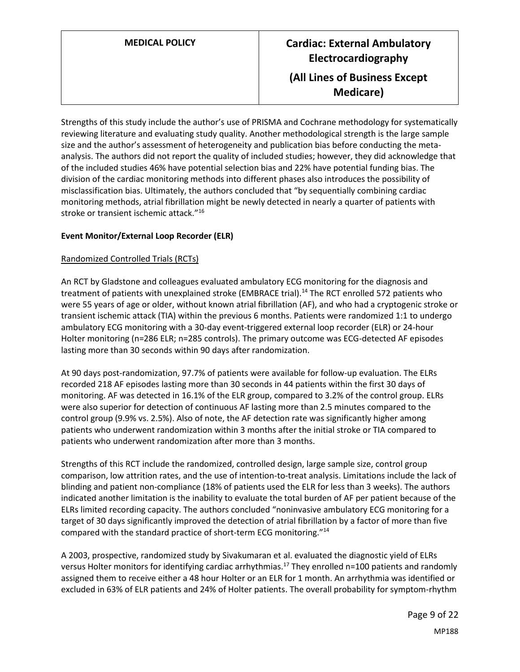Strengths of this study include the author's use of PRISMA and Cochrane methodology for systematically reviewing literature and evaluating study quality. Another methodological strength is the large sample size and the author's assessment of heterogeneity and publication bias before conducting the metaanalysis. The authors did not report the quality of included studies; however, they did acknowledge that of the included studies 46% have potential selection bias and 22% have potential funding bias. The division of the cardiac monitoring methods into different phases also introduces the possibility of misclassification bias. Ultimately, the authors concluded that "by sequentially combining cardiac monitoring methods, atrial fibrillation might be newly detected in nearly a quarter of patients with stroke or transient ischemic attack."<sup>16</sup>

### **Event Monitor/External Loop Recorder (ELR)**

### Randomized Controlled Trials (RCTs)

An RCT by Gladstone and colleagues evaluated ambulatory ECG monitoring for the diagnosis and treatment of patients with unexplained stroke (EMBRACE trial).<sup>14</sup> The RCT enrolled 572 patients who were 55 years of age or older, without known atrial fibrillation (AF), and who had a cryptogenic stroke or transient ischemic attack (TIA) within the previous 6 months. Patients were randomized 1:1 to undergo ambulatory ECG monitoring with a 30-day event-triggered external loop recorder (ELR) or 24-hour Holter monitoring (n=286 ELR; n=285 controls). The primary outcome was ECG-detected AF episodes lasting more than 30 seconds within 90 days after randomization.

At 90 days post-randomization, 97.7% of patients were available for follow-up evaluation. The ELRs recorded 218 AF episodes lasting more than 30 seconds in 44 patients within the first 30 days of monitoring. AF was detected in 16.1% of the ELR group, compared to 3.2% of the control group. ELRs were also superior for detection of continuous AF lasting more than 2.5 minutes compared to the control group (9.9% vs. 2.5%). Also of note, the AF detection rate was significantly higher among patients who underwent randomization within 3 months after the initial stroke or TIA compared to patients who underwent randomization after more than 3 months.

Strengths of this RCT include the randomized, controlled design, large sample size, control group comparison, low attrition rates, and the use of intention-to-treat analysis. Limitations include the lack of blinding and patient non-compliance (18% of patients used the ELR for less than 3 weeks). The authors indicated another limitation is the inability to evaluate the total burden of AF per patient because of the ELRs limited recording capacity. The authors concluded "noninvasive ambulatory ECG monitoring for a target of 30 days significantly improved the detection of atrial fibrillation by a factor of more than five compared with the standard practice of short-term ECG monitoring."<sup>14</sup>

A 2003, prospective, randomized study by Sivakumaran et al. evaluated the diagnostic yield of ELRs versus Holter monitors for identifying cardiac arrhythmias.<sup>17</sup> They enrolled n=100 patients and randomly assigned them to receive either a 48 hour Holter or an ELR for 1 month. An arrhythmia was identified or excluded in 63% of ELR patients and 24% of Holter patients. The overall probability for symptom-rhythm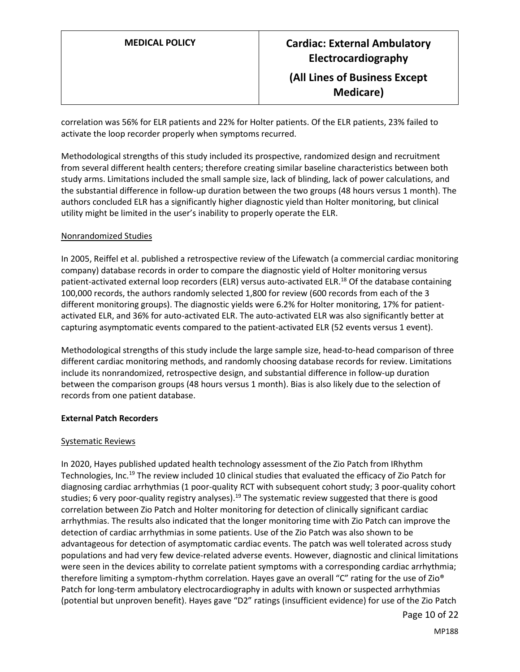correlation was 56% for ELR patients and 22% for Holter patients. Of the ELR patients, 23% failed to activate the loop recorder properly when symptoms recurred.

Methodological strengths of this study included its prospective, randomized design and recruitment from several different health centers; therefore creating similar baseline characteristics between both study arms. Limitations included the small sample size, lack of blinding, lack of power calculations, and the substantial difference in follow-up duration between the two groups (48 hours versus 1 month). The authors concluded ELR has a significantly higher diagnostic yield than Holter monitoring, but clinical utility might be limited in the user's inability to properly operate the ELR.

### Nonrandomized Studies

In 2005, Reiffel et al. published a retrospective review of the Lifewatch (a commercial cardiac monitoring company) database records in order to compare the diagnostic yield of Holter monitoring versus patient-activated external loop recorders (ELR) versus auto-activated ELR.<sup>18</sup> Of the database containing 100,000 records, the authors randomly selected 1,800 for review (600 records from each of the 3 different monitoring groups). The diagnostic yields were 6.2% for Holter monitoring, 17% for patientactivated ELR, and 36% for auto-activated ELR. The auto-activated ELR was also significantly better at capturing asymptomatic events compared to the patient-activated ELR (52 events versus 1 event).

Methodological strengths of this study include the large sample size, head-to-head comparison of three different cardiac monitoring methods, and randomly choosing database records for review. Limitations include its nonrandomized, retrospective design, and substantial difference in follow-up duration between the comparison groups (48 hours versus 1 month). Bias is also likely due to the selection of records from one patient database.

### **External Patch Recorders**

### Systematic Reviews

In 2020, Hayes published updated health technology assessment of the Zio Patch from IRhythm Technologies, Inc.<sup>19</sup> The review included 10 clinical studies that evaluated the efficacy of Zio Patch for diagnosing cardiac arrhythmias (1 poor-quality RCT with subsequent cohort study; 3 poor-quality cohort studies; 6 very poor-quality registry analyses).<sup>19</sup> The systematic review suggested that there is good correlation between Zio Patch and Holter monitoring for detection of clinically significant cardiac arrhythmias. The results also indicated that the longer monitoring time with Zio Patch can improve the detection of cardiac arrhythmias in some patients. Use of the Zio Patch was also shown to be advantageous for detection of asymptomatic cardiac events. The patch was well tolerated across study populations and had very few device-related adverse events. However, diagnostic and clinical limitations were seen in the devices ability to correlate patient symptoms with a corresponding cardiac arrhythmia; therefore limiting a symptom-rhythm correlation. Hayes gave an overall "C" rating for the use of Zio® Patch for long-term ambulatory electrocardiography in adults with known or suspected arrhythmias (potential but unproven benefit). Hayes gave "D2" ratings (insufficient evidence) for use of the Zio Patch

Page 10 of 22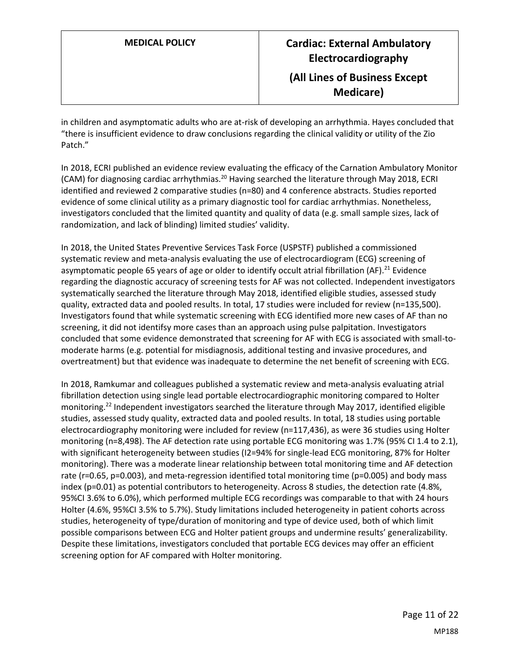in children and asymptomatic adults who are at-risk of developing an arrhythmia. Hayes concluded that "there is insufficient evidence to draw conclusions regarding the clinical validity or utility of the Zio Patch."

In 2018, ECRI published an evidence review evaluating the efficacy of the Carnation Ambulatory Monitor (CAM) for diagnosing cardiac arrhythmias.<sup>20</sup> Having searched the literature through May 2018, ECRI identified and reviewed 2 comparative studies (n=80) and 4 conference abstracts. Studies reported evidence of some clinical utility as a primary diagnostic tool for cardiac arrhythmias. Nonetheless, investigators concluded that the limited quantity and quality of data (e.g. small sample sizes, lack of randomization, and lack of blinding) limited studies' validity.

In 2018, the United States Preventive Services Task Force (USPSTF) published a commissioned systematic review and meta-analysis evaluating the use of electrocardiogram (ECG) screening of asymptomatic people 65 years of age or older to identify occult atrial fibrillation (AF).<sup>21</sup> Evidence regarding the diagnostic accuracy of screening tests for AF was not collected. Independent investigators systematically searched the literature through May 2018, identified eligible studies, assessed study quality, extracted data and pooled results. In total, 17 studies were included for review (n=135,500). Investigators found that while systematic screening with ECG identified more new cases of AF than no screening, it did not identifsy more cases than an approach using pulse palpitation. Investigators concluded that some evidence demonstrated that screening for AF with ECG is associated with small-tomoderate harms (e.g. potential for misdiagnosis, additional testing and invasive procedures, and overtreatment) but that evidence was inadequate to determine the net benefit of screening with ECG.

In 2018, Ramkumar and colleagues published a systematic review and meta-analysis evaluating atrial fibrillation detection using single lead portable electrocardiographic monitoring compared to Holter monitoring.<sup>22</sup> Independent investigators searched the literature through May 2017, identified eligible studies, assessed study quality, extracted data and pooled results. In total, 18 studies using portable electrocardiography monitoring were included for review (n=117,436), as were 36 studies using Holter monitoring (n=8,498). The AF detection rate using portable ECG monitoring was 1.7% (95% CI 1.4 to 2.1), with significant heterogeneity between studies (I2=94% for single-lead ECG monitoring, 87% for Holter monitoring). There was a moderate linear relationship between total monitoring time and AF detection rate (r=0.65, p=0.003), and meta-regression identified total monitoring time (p=0.005) and body mass index (p=0.01) as potential contributors to heterogeneity. Across 8 studies, the detection rate (4.8%, 95%CI 3.6% to 6.0%), which performed multiple ECG recordings was comparable to that with 24 hours Holter (4.6%, 95%CI 3.5% to 5.7%). Study limitations included heterogeneity in patient cohorts across studies, heterogeneity of type/duration of monitoring and type of device used, both of which limit possible comparisons between ECG and Holter patient groups and undermine results' generalizability. Despite these limitations, investigators concluded that portable ECG devices may offer an efficient screening option for AF compared with Holter monitoring.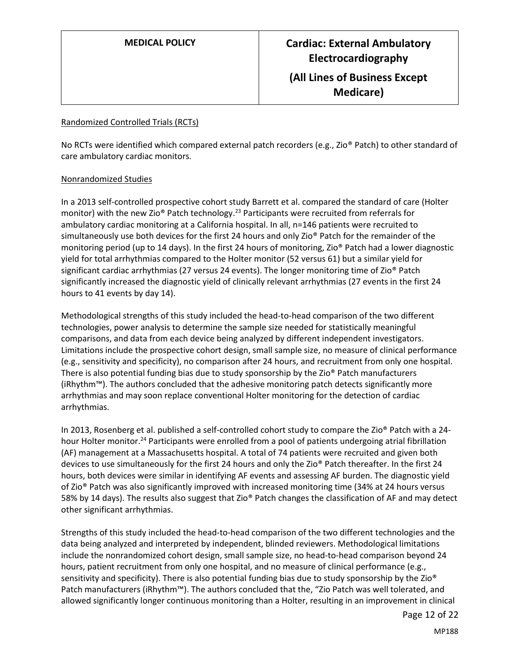### Randomized Controlled Trials (RCTs)

No RCTs were identified which compared external patch recorders (e.g., Zio® Patch) to other standard of care ambulatory cardiac monitors.

### Nonrandomized Studies

In a 2013 self-controlled prospective cohort study Barrett et al. compared the standard of care (Holter monitor) with the new Zio® Patch technology.<sup>23</sup> Participants were recruited from referrals for ambulatory cardiac monitoring at a California hospital. In all, n=146 patients were recruited to simultaneously use both devices for the first 24 hours and only Zio® Patch for the remainder of the monitoring period (up to 14 days). In the first 24 hours of monitoring, Zio® Patch had a lower diagnostic yield for total arrhythmias compared to the Holter monitor (52 versus 61) but a similar yield for significant cardiac arrhythmias (27 versus 24 events). The longer monitoring time of Zio® Patch significantly increased the diagnostic yield of clinically relevant arrhythmias (27 events in the first 24 hours to 41 events by day 14).

Methodological strengths of this study included the head-to-head comparison of the two different technologies, power analysis to determine the sample size needed for statistically meaningful comparisons, and data from each device being analyzed by different independent investigators. Limitations include the prospective cohort design, small sample size, no measure of clinical performance (e.g., sensitivity and specificity), no comparison after 24 hours, and recruitment from only one hospital. There is also potential funding bias due to study sponsorship by the Zio® Patch manufacturers (iRhythm™). The authors concluded that the adhesive monitoring patch detects significantly more arrhythmias and may soon replace conventional Holter monitoring for the detection of cardiac arrhythmias.

In 2013, Rosenberg et al. published a self-controlled cohort study to compare the Zio® Patch with a 24 hour Holter monitor.<sup>24</sup> Participants were enrolled from a pool of patients undergoing atrial fibrillation (AF) management at a Massachusetts hospital. A total of 74 patients were recruited and given both devices to use simultaneously for the first 24 hours and only the Zio® Patch thereafter. In the first 24 hours, both devices were similar in identifying AF events and assessing AF burden. The diagnostic yield of Zio® Patch was also significantly improved with increased monitoring time (34% at 24 hours versus 58% by 14 days). The results also suggest that Zio® Patch changes the classification of AF and may detect other significant arrhythmias.

Strengths of this study included the head-to-head comparison of the two different technologies and the data being analyzed and interpreted by independent, blinded reviewers. Methodological limitations include the nonrandomized cohort design, small sample size, no head-to-head comparison beyond 24 hours, patient recruitment from only one hospital, and no measure of clinical performance (e.g., sensitivity and specificity). There is also potential funding bias due to study sponsorship by the Zio® Patch manufacturers (iRhythm™). The authors concluded that the, "Zio Patch was well tolerated, and allowed significantly longer continuous monitoring than a Holter, resulting in an improvement in clinical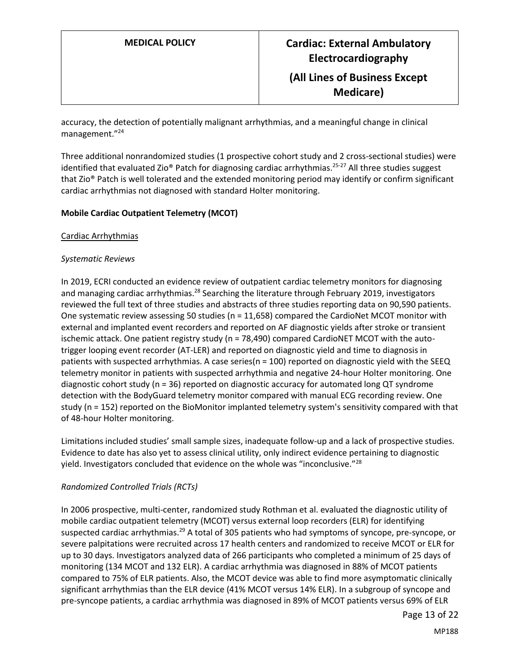accuracy, the detection of potentially malignant arrhythmias, and a meaningful change in clinical management."<sup>24</sup>

Three additional nonrandomized studies (1 prospective cohort study and 2 cross-sectional studies) were identified that evaluated Zio® Patch for diagnosing cardiac arrhythmias.<sup>25-27</sup> All three studies suggest that Zio® Patch is well tolerated and the extended monitoring period may identify or confirm significant cardiac arrhythmias not diagnosed with standard Holter monitoring.

### **Mobile Cardiac Outpatient Telemetry (MCOT)**

Cardiac Arrhythmias

### *Systematic Reviews*

In 2019, ECRI conducted an evidence review of outpatient cardiac telemetry monitors for diagnosing and managing cardiac arrhythmias.<sup>28</sup> Searching the literature through February 2019, investigators reviewed the full text of three studies and abstracts of three studies reporting data on 90,590 patients. One systematic review assessing 50 studies (n = 11,658) compared the CardioNet MCOT monitor with external and implanted event recorders and reported on AF diagnostic yields after stroke or transient ischemic attack. One patient registry study (n = 78,490) compared CardioNET MCOT with the autotrigger looping event recorder (AT-LER) and reported on diagnostic yield and time to diagnosis in patients with suspected arrhythmias. A case series(n = 100) reported on diagnostic yield with the SEEQ telemetry monitor in patients with suspected arrhythmia and negative 24-hour Holter monitoring. One diagnostic cohort study (n = 36) reported on diagnostic accuracy for automated long QT syndrome detection with the BodyGuard telemetry monitor compared with manual ECG recording review. One study (n = 152) reported on the BioMonitor implanted telemetry system's sensitivity compared with that of 48-hour Holter monitoring.

Limitations included studies' small sample sizes, inadequate follow-up and a lack of prospective studies. Evidence to date has also yet to assess clinical utility, only indirect evidence pertaining to diagnostic yield. Investigators concluded that evidence on the whole was "inconclusive."<sup>28</sup>

### *Randomized Controlled Trials (RCTs)*

In 2006 prospective, multi-center, randomized study Rothman et al. evaluated the diagnostic utility of mobile cardiac outpatient telemetry (MCOT) versus external loop recorders (ELR) for identifying suspected cardiac arrhythmias.<sup>29</sup> A total of 305 patients who had symptoms of syncope, pre-syncope, or severe palpitations were recruited across 17 health centers and randomized to receive MCOT or ELR for up to 30 days. Investigators analyzed data of 266 participants who completed a minimum of 25 days of monitoring (134 MCOT and 132 ELR). A cardiac arrhythmia was diagnosed in 88% of MCOT patients compared to 75% of ELR patients. Also, the MCOT device was able to find more asymptomatic clinically significant arrhythmias than the ELR device (41% MCOT versus 14% ELR). In a subgroup of syncope and pre-syncope patients, a cardiac arrhythmia was diagnosed in 89% of MCOT patients versus 69% of ELR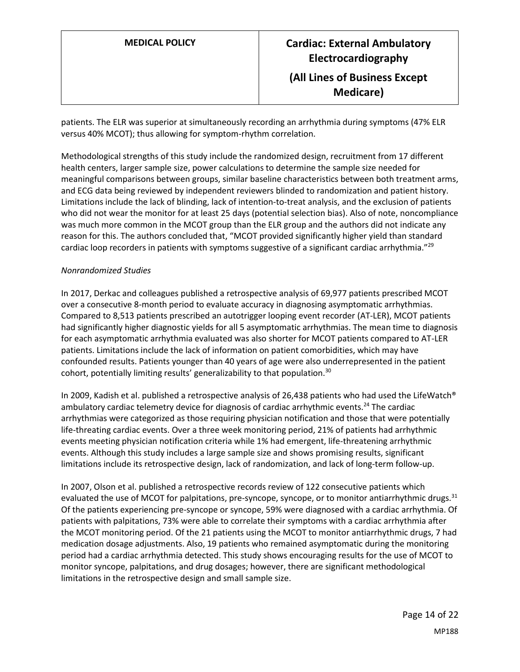patients. The ELR was superior at simultaneously recording an arrhythmia during symptoms (47% ELR versus 40% MCOT); thus allowing for symptom-rhythm correlation.

Methodological strengths of this study include the randomized design, recruitment from 17 different health centers, larger sample size, power calculations to determine the sample size needed for meaningful comparisons between groups, similar baseline characteristics between both treatment arms, and ECG data being reviewed by independent reviewers blinded to randomization and patient history. Limitations include the lack of blinding, lack of intention-to-treat analysis, and the exclusion of patients who did not wear the monitor for at least 25 days (potential selection bias). Also of note, noncompliance was much more common in the MCOT group than the ELR group and the authors did not indicate any reason for this. The authors concluded that, "MCOT provided significantly higher yield than standard cardiac loop recorders in patients with symptoms suggestive of a significant cardiac arrhythmia."<sup>29</sup>

### *Nonrandomized Studies*

In 2017, Derkac and colleagues published a retrospective analysis of 69,977 patients prescribed MCOT over a consecutive 8-month period to evaluate accuracy in diagnosing asymptomatic arrhythmias. Compared to 8,513 patients prescribed an autotrigger looping event recorder (AT-LER), MCOT patients had significantly higher diagnostic yields for all 5 asymptomatic arrhythmias. The mean time to diagnosis for each asymptomatic arrhythmia evaluated was also shorter for MCOT patients compared to AT-LER patients. Limitations include the lack of information on patient comorbidities, which may have confounded results. Patients younger than 40 years of age were also underrepresented in the patient cohort, potentially limiting results' generalizability to that population.<sup>30</sup>

In 2009, Kadish et al. published a retrospective analysis of 26,438 patients who had used the LifeWatch® ambulatory cardiac telemetry device for diagnosis of cardiac arrhythmic events.<sup>24</sup> The cardiac arrhythmias were categorized as those requiring physician notification and those that were potentially life-threating cardiac events. Over a three week monitoring period, 21% of patients had arrhythmic events meeting physician notification criteria while 1% had emergent, life-threatening arrhythmic events. Although this study includes a large sample size and shows promising results, significant limitations include its retrospective design, lack of randomization, and lack of long-term follow-up.

In 2007, Olson et al. published a retrospective records review of 122 consecutive patients which evaluated the use of MCOT for palpitations, pre-syncope, syncope, or to monitor antiarrhythmic drugs.<sup>31</sup> Of the patients experiencing pre-syncope or syncope, 59% were diagnosed with a cardiac arrhythmia. Of patients with palpitations, 73% were able to correlate their symptoms with a cardiac arrhythmia after the MCOT monitoring period. Of the 21 patients using the MCOT to monitor antiarrhythmic drugs, 7 had medication dosage adjustments. Also, 19 patients who remained asymptomatic during the monitoring period had a cardiac arrhythmia detected. This study shows encouraging results for the use of MCOT to monitor syncope, palpitations, and drug dosages; however, there are significant methodological limitations in the retrospective design and small sample size.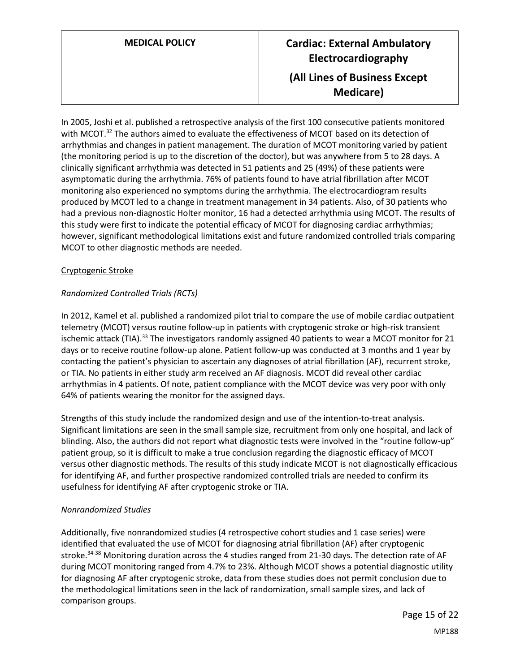# **MEDICAL POLICY Cardiac: External Ambulatory Electrocardiography (All Lines of Business Except Medicare)**

In 2005, Joshi et al. published a retrospective analysis of the first 100 consecutive patients monitored with MCOT.<sup>32</sup> The authors aimed to evaluate the effectiveness of MCOT based on its detection of arrhythmias and changes in patient management. The duration of MCOT monitoring varied by patient (the monitoring period is up to the discretion of the doctor), but was anywhere from 5 to 28 days. A clinically significant arrhythmia was detected in 51 patients and 25 (49%) of these patients were asymptomatic during the arrhythmia. 76% of patients found to have atrial fibrillation after MCOT monitoring also experienced no symptoms during the arrhythmia. The electrocardiogram results produced by MCOT led to a change in treatment management in 34 patients. Also, of 30 patients who had a previous non-diagnostic Holter monitor, 16 had a detected arrhythmia using MCOT. The results of this study were first to indicate the potential efficacy of MCOT for diagnosing cardiac arrhythmias; however, significant methodological limitations exist and future randomized controlled trials comparing MCOT to other diagnostic methods are needed.

### Cryptogenic Stroke

### *Randomized Controlled Trials (RCTs)*

In 2012, Kamel et al. published a randomized pilot trial to compare the use of mobile cardiac outpatient telemetry (MCOT) versus routine follow-up in patients with cryptogenic stroke or high-risk transient ischemic attack (TIA).<sup>33</sup> The investigators randomly assigned 40 patients to wear a MCOT monitor for 21 days or to receive routine follow-up alone. Patient follow-up was conducted at 3 months and 1 year by contacting the patient's physician to ascertain any diagnoses of atrial fibrillation (AF), recurrent stroke, or TIA. No patients in either study arm received an AF diagnosis. MCOT did reveal other cardiac arrhythmias in 4 patients. Of note, patient compliance with the MCOT device was very poor with only 64% of patients wearing the monitor for the assigned days.

Strengths of this study include the randomized design and use of the intention-to-treat analysis. Significant limitations are seen in the small sample size, recruitment from only one hospital, and lack of blinding. Also, the authors did not report what diagnostic tests were involved in the "routine follow-up" patient group, so it is difficult to make a true conclusion regarding the diagnostic efficacy of MCOT versus other diagnostic methods. The results of this study indicate MCOT is not diagnostically efficacious for identifying AF, and further prospective randomized controlled trials are needed to confirm its usefulness for identifying AF after cryptogenic stroke or TIA.

### *Nonrandomized Studies*

Additionally, five nonrandomized studies (4 retrospective cohort studies and 1 case series) were identified that evaluated the use of MCOT for diagnosing atrial fibrillation (AF) after cryptogenic stroke.<sup>34-38</sup> Monitoring duration across the 4 studies ranged from 21-30 days. The detection rate of AF during MCOT monitoring ranged from 4.7% to 23%. Although MCOT shows a potential diagnostic utility for diagnosing AF after cryptogenic stroke, data from these studies does not permit conclusion due to the methodological limitations seen in the lack of randomization, small sample sizes, and lack of comparison groups.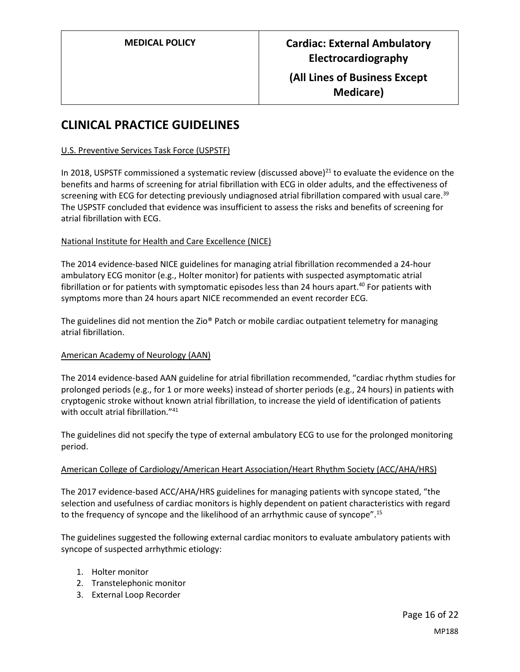# **CLINICAL PRACTICE GUIDELINES**

### U.S. Preventive Services Task Force (USPSTF)

In 2018, USPSTF commissioned a systematic review (discussed above) $^{21}$  to evaluate the evidence on the benefits and harms of screening for atrial fibrillation with ECG in older adults, and the effectiveness of screening with ECG for detecting previously undiagnosed atrial fibrillation compared with usual care.<sup>39</sup> The USPSTF concluded that evidence was insufficient to assess the risks and benefits of screening for atrial fibrillation with ECG.

### National Institute for Health and Care Excellence (NICE)

The 2014 evidence-based NICE guidelines for managing atrial fibrillation recommended a 24-hour ambulatory ECG monitor (e.g., Holter monitor) for patients with suspected asymptomatic atrial fibrillation or for patients with symptomatic episodes less than 24 hours apart. <sup>40</sup> For patients with symptoms more than 24 hours apart NICE recommended an event recorder ECG.

The guidelines did not mention the Zio® Patch or mobile cardiac outpatient telemetry for managing atrial fibrillation.

### American Academy of Neurology (AAN)

The 2014 evidence-based AAN guideline for atrial fibrillation recommended, "cardiac rhythm studies for prolonged periods (e.g., for 1 or more weeks) instead of shorter periods (e.g., 24 hours) in patients with cryptogenic stroke without known atrial fibrillation, to increase the yield of identification of patients with occult atrial fibrillation."<sup>41</sup>

The guidelines did not specify the type of external ambulatory ECG to use for the prolonged monitoring period.

### American College of Cardiology/American Heart Association/Heart Rhythm Society (ACC/AHA/HRS)

The 2017 evidence-based ACC/AHA/HRS guidelines for managing patients with syncope stated, "the selection and usefulness of cardiac monitors is highly dependent on patient characteristics with regard to the frequency of syncope and the likelihood of an arrhythmic cause of syncope".<sup>15</sup>

The guidelines suggested the following external cardiac monitors to evaluate ambulatory patients with syncope of suspected arrhythmic etiology:

- 1. Holter monitor
- 2. Transtelephonic monitor
- 3. External Loop Recorder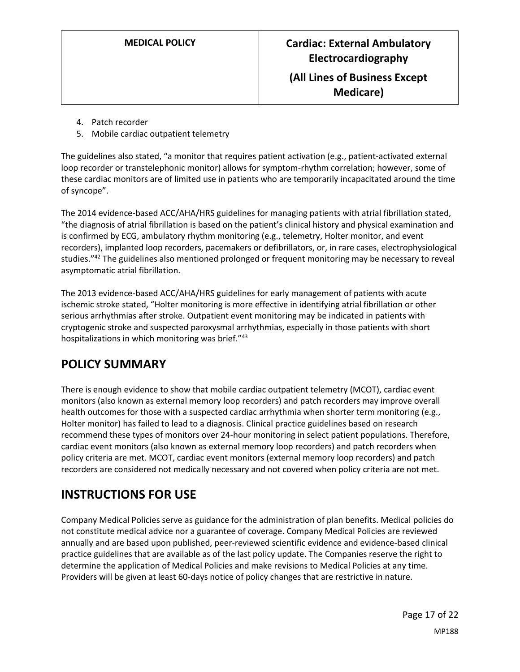- 4. Patch recorder
- 5. Mobile cardiac outpatient telemetry

The guidelines also stated, "a monitor that requires patient activation (e.g., patient-activated external loop recorder or transtelephonic monitor) allows for symptom-rhythm correlation; however, some of these cardiac monitors are of limited use in patients who are temporarily incapacitated around the time of syncope".

The 2014 evidence-based ACC/AHA/HRS guidelines for managing patients with atrial fibrillation stated, "the diagnosis of atrial fibrillation is based on the patient's clinical history and physical examination and is confirmed by ECG, ambulatory rhythm monitoring (e.g., telemetry, Holter monitor, and event recorders), implanted loop recorders, pacemakers or defibrillators, or, in rare cases, electrophysiological studies."<sup>42</sup> The guidelines also mentioned prolonged or frequent monitoring may be necessary to reveal asymptomatic atrial fibrillation.

The 2013 evidence-based ACC/AHA/HRS guidelines for early management of patients with acute ischemic stroke stated, "Holter monitoring is more effective in identifying atrial fibrillation or other serious arrhythmias after stroke. Outpatient event monitoring may be indicated in patients with cryptogenic stroke and suspected paroxysmal arrhythmias, especially in those patients with short hospitalizations in which monitoring was brief."<sup>43</sup>

# <span id="page-16-0"></span>**POLICY SUMMARY**

There is enough evidence to show that mobile cardiac outpatient telemetry (MCOT), cardiac event monitors (also known as external memory loop recorders) and patch recorders may improve overall health outcomes for those with a suspected cardiac arrhythmia when shorter term monitoring (e.g., Holter monitor) has failed to lead to a diagnosis. Clinical practice guidelines based on research recommend these types of monitors over 24-hour monitoring in select patient populations. Therefore, cardiac event monitors (also known as external memory loop recorders) and patch recorders when policy criteria are met. MCOT, cardiac event monitors (external memory loop recorders) and patch recorders are considered not medically necessary and not covered when policy criteria are not met.

# **INSTRUCTIONS FOR USE**

Company Medical Policies serve as guidance for the administration of plan benefits. Medical policies do not constitute medical advice nor a guarantee of coverage. Company Medical Policies are reviewed annually and are based upon published, peer-reviewed scientific evidence and evidence-based clinical practice guidelines that are available as of the last policy update. The Companies reserve the right to determine the application of Medical Policies and make revisions to Medical Policies at any time. Providers will be given at least 60-days notice of policy changes that are restrictive in nature.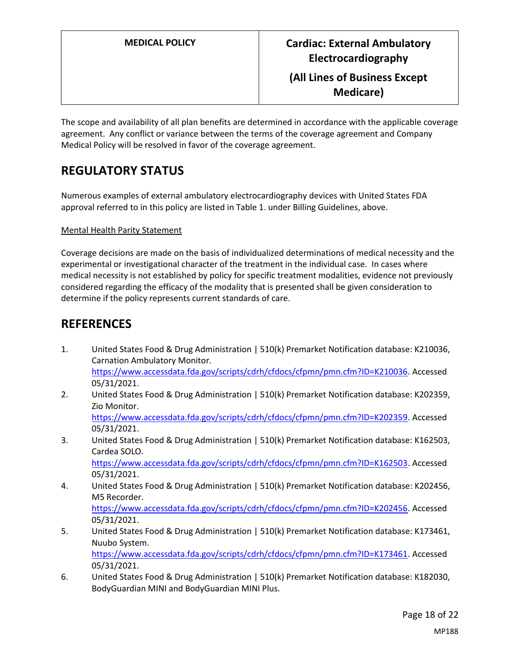The scope and availability of all plan benefits are determined in accordance with the applicable coverage agreement. Any conflict or variance between the terms of the coverage agreement and Company Medical Policy will be resolved in favor of the coverage agreement.

# **REGULATORY STATUS**

Numerous examples of external ambulatory electrocardiography devices with United States FDA approval referred to in this policy are listed in Table 1. under Billing Guidelines, above.

### Mental Health Parity Statement

Coverage decisions are made on the basis of individualized determinations of medical necessity and the experimental or investigational character of the treatment in the individual case. In cases where medical necessity is not established by policy for specific treatment modalities, evidence not previously considered regarding the efficacy of the modality that is presented shall be given consideration to determine if the policy represents current standards of care.

## **REFERENCES**

- 1. United States Food & Drug Administration | 510(k) Premarket Notification database: K210036, Carnation Ambulatory Monitor. [https://www.accessdata.fda.gov/scripts/cdrh/cfdocs/cfpmn/pmn.cfm?ID=K210036.](https://www.accessdata.fda.gov/scripts/cdrh/cfdocs/cfpmn/pmn.cfm?ID=K210036) Accessed 05/31/2021.
- 2. United States Food & Drug Administration | 510(k) Premarket Notification database: K202359, Zio Monitor. [https://www.accessdata.fda.gov/scripts/cdrh/cfdocs/cfpmn/pmn.cfm?ID=K202359.](https://www.accessdata.fda.gov/scripts/cdrh/cfdocs/cfpmn/pmn.cfm?ID=K202359) Accessed 05/31/2021.
- 3. United States Food & Drug Administration | 510(k) Premarket Notification database: K162503, Cardea SOLO. [https://www.accessdata.fda.gov/scripts/cdrh/cfdocs/cfpmn/pmn.cfm?ID=K162503.](https://www.accessdata.fda.gov/scripts/cdrh/cfdocs/cfpmn/pmn.cfm?ID=K162503) Accessed

05/31/2021.

4. United States Food & Drug Administration | 510(k) Premarket Notification database: K202456, M5 Recorder.

[https://www.accessdata.fda.gov/scripts/cdrh/cfdocs/cfpmn/pmn.cfm?ID=K202456.](https://www.accessdata.fda.gov/scripts/cdrh/cfdocs/cfpmn/pmn.cfm?ID=K202456) Accessed 05/31/2021.

- 5. United States Food & Drug Administration | 510(k) Premarket Notification database: K173461, Nuubo System. [https://www.accessdata.fda.gov/scripts/cdrh/cfdocs/cfpmn/pmn.cfm?ID=K173461.](https://www.accessdata.fda.gov/scripts/cdrh/cfdocs/cfpmn/pmn.cfm?ID=K173461) Accessed 05/31/2021.
- 6. United States Food & Drug Administration | 510(k) Premarket Notification database: K182030, BodyGuardian MINI and BodyGuardian MINI Plus.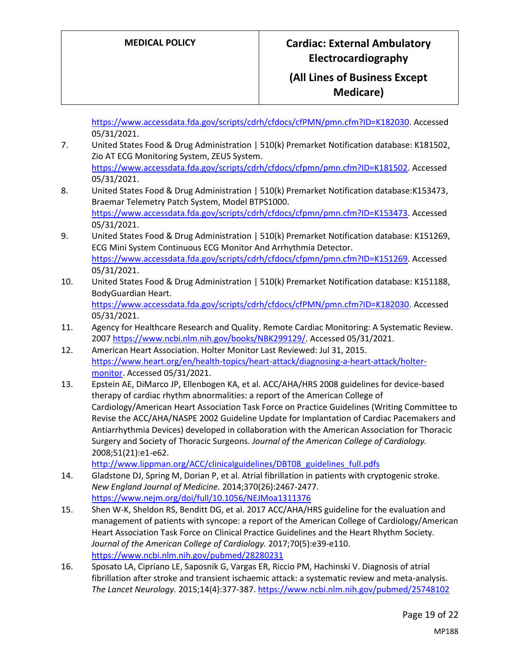[https://www.accessdata.fda.gov/scripts/cdrh/cfdocs/cfPMN/pmn.cfm?ID=K182030.](https://www.accessdata.fda.gov/scripts/cdrh/cfdocs/cfPMN/pmn.cfm?ID=K182030) Accessed 05/31/2021.

7. United States Food & Drug Administration | 510(k) Premarket Notification database: K181502, Zio AT ECG Monitoring System, ZEUS System. [https://www.accessdata.fda.gov/scripts/cdrh/cfdocs/cfpmn/pmn.cfm?ID=K181502.](https://www.accessdata.fda.gov/scripts/cdrh/cfdocs/cfpmn/pmn.cfm?ID=K181502) Accessed

05/31/2021.

- 8. United States Food & Drug Administration | 510(k) Premarket Notification database:K153473, Braemar Telemetry Patch System, Model BTPS1000. [https://www.accessdata.fda.gov/scripts/cdrh/cfdocs/cfpmn/pmn.cfm?ID=K153473.](https://www.accessdata.fda.gov/scripts/cdrh/cfdocs/cfpmn/pmn.cfm?ID=K153473) Accessed 05/31/2021.
- 9. United States Food & Drug Administration | 510(k) Premarket Notification database: K151269, ECG Mini System Continuous ECG Monitor And Arrhythmia Detector. [https://www.accessdata.fda.gov/scripts/cdrh/cfdocs/cfpmn/pmn.cfm?ID=K151269.](https://www.accessdata.fda.gov/scripts/cdrh/cfdocs/cfpmn/pmn.cfm?ID=K151269) Accessed 05/31/2021.
- 10. United States Food & Drug Administration | 510(k) Premarket Notification database: K151188, BodyGuardian Heart. [https://www.accessdata.fda.gov/scripts/cdrh/cfdocs/cfPMN/pmn.cfm?ID=K182030.](https://www.accessdata.fda.gov/scripts/cdrh/cfdocs/cfPMN/pmn.cfm?ID=K182030) Accessed 05/31/2021.
- 11. Agency for Healthcare Research and Quality. Remote Cardiac Monitoring: A Systematic Review. 2007 [https://www.ncbi.nlm.nih.gov/books/NBK299129/.](https://www.ncbi.nlm.nih.gov/books/NBK299129/) Accessed 05/31/2021.
- 12. American Heart Association. Holter Monitor Last Reviewed: Jul 31, 2015. [https://www.heart.org/en/health-topics/heart-attack/diagnosing-a-heart-attack/holter](https://www.heart.org/en/health-topics/heart-attack/diagnosing-a-heart-attack/holter-monitor)[monitor.](https://www.heart.org/en/health-topics/heart-attack/diagnosing-a-heart-attack/holter-monitor) Accessed 05/31/2021.
- 13. Epstein AE, DiMarco JP, Ellenbogen KA, et al. ACC/AHA/HRS 2008 guidelines for device-based therapy of cardiac rhythm abnormalities: a report of the American College of Cardiology/American Heart Association Task Force on Practice Guidelines (Writing Committee to Revise the ACC/AHA/NASPE 2002 Guideline Update for Implantation of Cardiac Pacemakers and Antiarrhythmia Devices) developed in collaboration with the American Association for Thoracic Surgery and Society of Thoracic Surgeons. *Journal of the American College of Cardiology.*  2008;51(21):e1-e62.

[http://www.lippman.org/ACC/clinicalguidelines/DBT08\\_guidelines\\_full.pdfs](http://www.lippman.org/ACC/clinicalguidelines/DBT08_guidelines_full.pdfs)

- 14. Gladstone DJ, Spring M, Dorian P, et al. Atrial fibrillation in patients with cryptogenic stroke. *New England Journal of Medicine.* 2014;370(26):2467-2477. <https://www.nejm.org/doi/full/10.1056/NEJMoa1311376>
- 15. Shen W-K, Sheldon RS, Benditt DG, et al. 2017 ACC/AHA/HRS guideline for the evaluation and management of patients with syncope: a report of the American College of Cardiology/American Heart Association Task Force on Clinical Practice Guidelines and the Heart Rhythm Society. *Journal of the American College of Cardiology.* 2017;70(5):e39-e110. <https://www.ncbi.nlm.nih.gov/pubmed/28280231>
- 16. Sposato LA, Cipriano LE, Saposnik G, Vargas ER, Riccio PM, Hachinski V. Diagnosis of atrial fibrillation after stroke and transient ischaemic attack: a systematic review and meta-analysis. *The Lancet Neurology.* 2015;14(4):377-387.<https://www.ncbi.nlm.nih.gov/pubmed/25748102>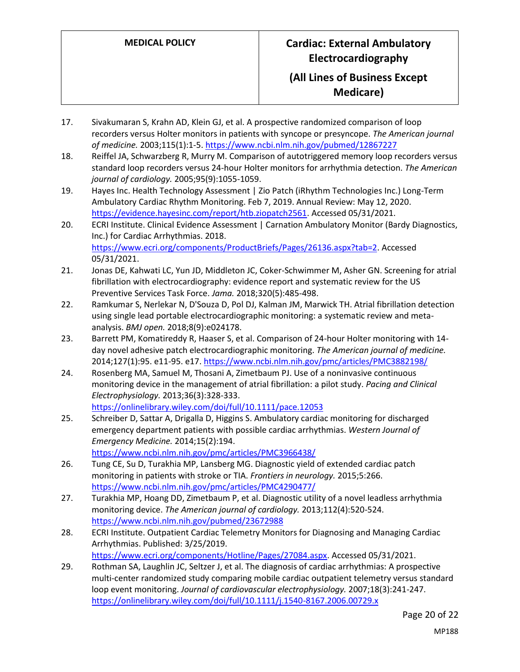- 17. Sivakumaran S, Krahn AD, Klein GJ, et al. A prospective randomized comparison of loop recorders versus Holter monitors in patients with syncope or presyncope. *The American journal of medicine.* 2003;115(1):1-5.<https://www.ncbi.nlm.nih.gov/pubmed/12867227>
- 18. Reiffel JA, Schwarzberg R, Murry M. Comparison of autotriggered memory loop recorders versus standard loop recorders versus 24-hour Holter monitors for arrhythmia detection. *The American journal of cardiology.* 2005;95(9):1055-1059.
- 19. Hayes Inc. Health Technology Assessment | Zio Patch (iRhythm Technologies Inc.) Long-Term Ambulatory Cardiac Rhythm Monitoring. Feb 7, 2019. Annual Review: May 12, 2020. [https://evidence.hayesinc.com/report/htb.ziopatch2561.](https://evidence.hayesinc.com/report/htb.ziopatch2561) Accessed 05/31/2021.
- 20. ECRI Institute. Clinical Evidence Assessment | Carnation Ambulatory Monitor (Bardy Diagnostics, Inc.) for Cardiac Arrhythmias. 2018. [https://www.ecri.org/components/ProductBriefs/Pages/26136.aspx?tab=2.](https://www.ecri.org/components/ProductBriefs/Pages/26136.aspx?tab=2) Accessed 05/31/2021.
- 21. Jonas DE, Kahwati LC, Yun JD, Middleton JC, Coker-Schwimmer M, Asher GN. Screening for atrial fibrillation with electrocardiography: evidence report and systematic review for the US Preventive Services Task Force. *Jama.* 2018;320(5):485-498.
- 22. Ramkumar S, Nerlekar N, D'Souza D, Pol DJ, Kalman JM, Marwick TH. Atrial fibrillation detection using single lead portable electrocardiographic monitoring: a systematic review and metaanalysis. *BMJ open.* 2018;8(9):e024178.
- 23. Barrett PM, Komatireddy R, Haaser S, et al. Comparison of 24-hour Holter monitoring with 14 day novel adhesive patch electrocardiographic monitoring. *The American journal of medicine.*  2014;127(1):95. e11-95. e17.<https://www.ncbi.nlm.nih.gov/pmc/articles/PMC3882198/>
- 24. Rosenberg MA, Samuel M, Thosani A, Zimetbaum PJ. Use of a noninvasive continuous monitoring device in the management of atrial fibrillation: a pilot study. *Pacing and Clinical Electrophysiology.* 2013;36(3):328-333. <https://onlinelibrary.wiley.com/doi/full/10.1111/pace.12053>
- 25. Schreiber D, Sattar A, Drigalla D, Higgins S. Ambulatory cardiac monitoring for discharged emergency department patients with possible cardiac arrhythmias. *Western Journal of Emergency Medicine.* 2014;15(2):194.
	- <https://www.ncbi.nlm.nih.gov/pmc/articles/PMC3966438/>
- 26. Tung CE, Su D, Turakhia MP, Lansberg MG. Diagnostic yield of extended cardiac patch monitoring in patients with stroke or TIA. *Frontiers in neurology.* 2015;5:266. <https://www.ncbi.nlm.nih.gov/pmc/articles/PMC4290477/>
- 27. Turakhia MP, Hoang DD, Zimetbaum P, et al. Diagnostic utility of a novel leadless arrhythmia monitoring device. *The American journal of cardiology.* 2013;112(4):520-524. <https://www.ncbi.nlm.nih.gov/pubmed/23672988>
- 28. ECRI Institute. Outpatient Cardiac Telemetry Monitors for Diagnosing and Managing Cardiac Arrhythmias. Published: 3/25/2019. [https://www.ecri.org/components/Hotline/Pages/27084.aspx.](https://www.ecri.org/components/Hotline/Pages/27084.aspx) Accessed 05/31/2021.
- 29. Rothman SA, Laughlin JC, Seltzer J, et al. The diagnosis of cardiac arrhythmias: A prospective multi-center randomized study comparing mobile cardiac outpatient telemetry versus standard loop event monitoring. *Journal of cardiovascular electrophysiology.* 2007;18(3):241-247. <https://onlinelibrary.wiley.com/doi/full/10.1111/j.1540-8167.2006.00729.x>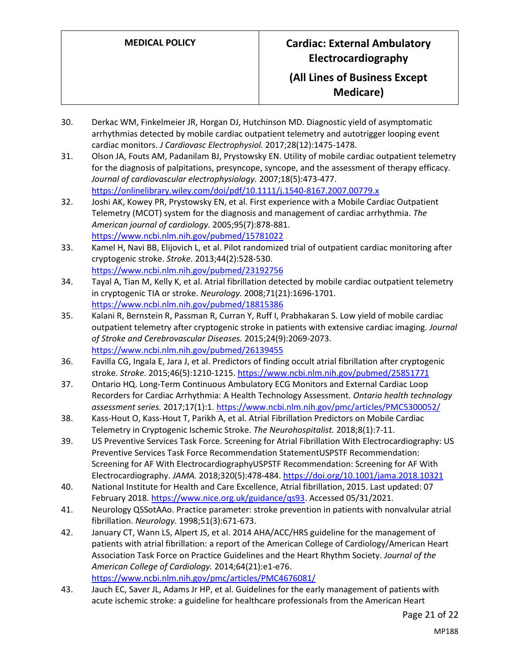- 30. Derkac WM, Finkelmeier JR, Horgan DJ, Hutchinson MD. Diagnostic yield of asymptomatic arrhythmias detected by mobile cardiac outpatient telemetry and autotrigger looping event cardiac monitors. *J Cardiovasc Electrophysiol.* 2017;28(12):1475-1478.
- 31. Olson JA, Fouts AM, Padanilam BJ, Prystowsky EN. Utility of mobile cardiac outpatient telemetry for the diagnosis of palpitations, presyncope, syncope, and the assessment of therapy efficacy. *Journal of cardiovascular electrophysiology.* 2007;18(5):473-477. <https://onlinelibrary.wiley.com/doi/pdf/10.1111/j.1540-8167.2007.00779.x>
- 32. Joshi AK, Kowey PR, Prystowsky EN, et al. First experience with a Mobile Cardiac Outpatient Telemetry (MCOT) system for the diagnosis and management of cardiac arrhythmia. *The American journal of cardiology.* 2005;95(7):878-881. <https://www.ncbi.nlm.nih.gov/pubmed/15781022>
- 33. Kamel H, Navi BB, Elijovich L, et al. Pilot randomized trial of outpatient cardiac monitoring after cryptogenic stroke. *Stroke.* 2013;44(2):528-530. <https://www.ncbi.nlm.nih.gov/pubmed/23192756>
- 34. Tayal A, Tian M, Kelly K, et al. Atrial fibrillation detected by mobile cardiac outpatient telemetry in cryptogenic TIA or stroke. *Neurology.* 2008;71(21):1696-1701. <https://www.ncbi.nlm.nih.gov/pubmed/18815386>
- 35. Kalani R, Bernstein R, Passman R, Curran Y, Ruff I, Prabhakaran S. Low yield of mobile cardiac outpatient telemetry after cryptogenic stroke in patients with extensive cardiac imaging. *Journal of Stroke and Cerebrovascular Diseases.* 2015;24(9):2069-2073. <https://www.ncbi.nlm.nih.gov/pubmed/26139455>
- 36. Favilla CG, Ingala E, Jara J, et al. Predictors of finding occult atrial fibrillation after cryptogenic stroke. *Stroke.* 2015;46(5):1210-1215.<https://www.ncbi.nlm.nih.gov/pubmed/25851771>
- 37. Ontario HQ. Long-Term Continuous Ambulatory ECG Monitors and External Cardiac Loop Recorders for Cardiac Arrhythmia: A Health Technology Assessment. *Ontario health technology assessment series.* 2017;17(1):1.<https://www.ncbi.nlm.nih.gov/pmc/articles/PMC5300052/>
- 38. Kass-Hout O, Kass-Hout T, Parikh A, et al. Atrial Fibrillation Predictors on Mobile Cardiac Telemetry in Cryptogenic Ischemic Stroke. *The Neurohospitalist.* 2018;8(1):7-11.
- 39. US Preventive Services Task Force. Screening for Atrial Fibrillation With Electrocardiography: US Preventive Services Task Force Recommendation StatementUSPSTF Recommendation: Screening for AF With ElectrocardiographyUSPSTF Recommendation: Screening for AF With Electrocardiography. *JAMA.* 2018;320(5):478-484[. https://doi.org/10.1001/jama.2018.10321](https://doi.org/10.1001/jama.2018.10321)
- 40. National Institute for Health and Care Excellence, Atrial fibrillation, 2015. Last updated: 07 February 2018. [https://www.nice.org.uk/guidance/qs93.](https://www.nice.org.uk/guidance/qs93) Accessed 05/31/2021.
- 41. Neurology QSSotAAo. Practice parameter: stroke prevention in patients with nonvalvular atrial fibrillation. *Neurology.* 1998;51(3):671-673.
- 42. January CT, Wann LS, Alpert JS, et al. 2014 AHA/ACC/HRS guideline for the management of patients with atrial fibrillation: a report of the American College of Cardiology/American Heart Association Task Force on Practice Guidelines and the Heart Rhythm Society. *Journal of the American College of Cardiology.* 2014;64(21):e1-e76. <https://www.ncbi.nlm.nih.gov/pmc/articles/PMC4676081/>
- 43. Jauch EC, Saver JL, Adams Jr HP, et al. Guidelines for the early management of patients with acute ischemic stroke: a guideline for healthcare professionals from the American Heart